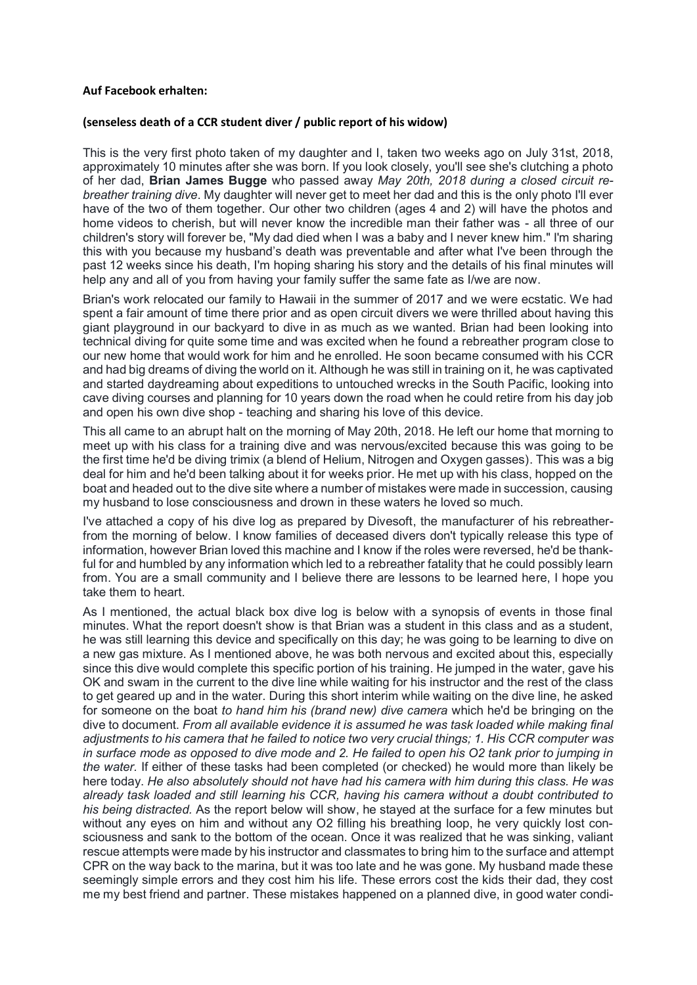## **Auf Facebook erhalten:**

## **(senseless death of a CCR student diver / public report of his widow)**

This is the very first photo taken of my daughter and I, taken two weeks ago on July 31st, 2018, approximately 10 minutes after she was born. If you look closely, you'll see she's clutching a photo of her dad, **Brian James Bugge** who passed away *May 20th, 2018 during a closed circuit rebreather training dive*. My daughter will never get to meet her dad and this is the only photo I'll ever have of the two of them together. Our other two children (ages 4 and 2) will have the photos and home videos to cherish, but will never know the incredible man their father was - all three of our children's story will forever be, "My dad died when I was a baby and I never knew him." I'm sharing this with you because my husband's death was preventable and after what I've been through the past 12 weeks since his death, I'm hoping sharing his story and the details of his final minutes will help any and all of you from having your family suffer the same fate as I/we are now.

Brian's work relocated our family to Hawaii in the summer of 2017 and we were ecstatic. We had spent a fair amount of time there prior and as open circuit divers we were thrilled about having this giant playground in our backyard to dive in as much as we wanted. Brian had been looking into technical diving for quite some time and was excited when he found a rebreather program close to our new home that would work for him and he enrolled. He soon became consumed with his CCR and had big dreams of diving the world on it. Although he was still in training on it, he was captivated and started daydreaming about expeditions to untouched wrecks in the South Pacific, looking into cave diving courses and planning for 10 years down the road when he could retire from his day job and open his own dive shop - teaching and sharing his love of this device.

This all came to an abrupt halt on the morning of May 20th, 2018. He left our home that morning to meet up with his class for a training dive and was nervous/excited because this was going to be the first time he'd be diving trimix (a blend of Helium, Nitrogen and Oxygen gasses). This was a big deal for him and he'd been talking about it for weeks prior. He met up with his class, hopped on the boat and headed out to the dive site where a number of mistakes were made in succession, causing my husband to lose consciousness and drown in these waters he loved so much.

I've attached a copy of his dive log as prepared by Divesoft, the manufacturer of his rebreatherfrom the morning of below. I know families of deceased divers don't typically release this type of information, however Brian loved this machine and I know if the roles were reversed, he'd be thankful for and humbled by any information which led to a rebreather fatality that he could possibly learn from. You are a small community and I believe there are lessons to be learned here, I hope you take them to heart.

As I mentioned, the actual black box dive log is below with a synopsis of events in those final minutes. What the report doesn't show is that Brian was a student in this class and as a student, he was still learning this device and specifically on this day; he was going to be learning to dive on a new gas mixture. As I mentioned above, he was both nervous and excited about this, especially since this dive would complete this specific portion of his training. He jumped in the water, gave his OK and swam in the current to the dive line while waiting for his instructor and the rest of the class to get geared up and in the water. During this short interim while waiting on the dive line, he asked for someone on the boat *to hand him his (brand new) dive camera* which he'd be bringing on the dive to document. *From all available evidence it is assumed he was task loaded while making final adjustments to his camera that he failed to notice two very crucial things; 1. His CCR computer was in surface mode as opposed to dive mode and 2. He failed to open his O2 tank prior to jumping in the water.* If either of these tasks had been completed (or checked) he would more than likely be here today. *He also absolutely should not have had his camera with him during this class. He was already task loaded and still learning his CCR, having his camera without a doubt contributed to his being distracted.* As the report below will show, he stayed at the surface for a few minutes but without any eyes on him and without any O2 filling his breathing loop, he very quickly lost consciousness and sank to the bottom of the ocean. Once it was realized that he was sinking, valiant rescue attempts were made by his instructor and classmates to bring him to the surface and attempt CPR on the way back to the marina, but it was too late and he was gone. My husband made these seemingly simple errors and they cost him his life. These errors cost the kids their dad, they cost me my best friend and partner. These mistakes happened on a planned dive, in good water condi